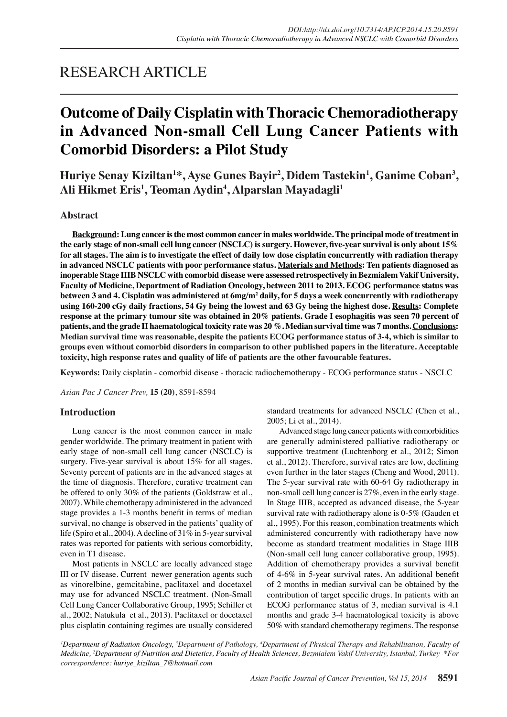# RESEARCH ARTICLE

# **Outcome of Daily Cisplatin with Thoracic Chemoradiotherapy in Advanced Non-small Cell Lung Cancer Patients with Comorbid Disorders: a Pilot Study**

**Huriye Senay Kiziltan1 \*, Ayse Gunes Bayir2 , Didem Tastekin1 , Ganime Coban3 , Ali Hikmet Eris1 , Teoman Aydin4 , Alparslan Mayadagli1**

## **Abstract**

**Background: Lung cancer is the most common cancer in males worldwide. The principal mode of treatment in the early stage of non-small cell lung cancer (NSCLC) is surgery. However, five-year survival is only about 15% for all stages. The aim is to investigate the effect of daily low dose cisplatin concurrently with radiation therapy in advanced NSCLC patients with poor performance status. Materials and Methods: Ten patients diagnosed as inoperable Stage IIIB NSCLC with comorbid disease were assessed retrospectively in Bezmialem Vakif University, Faculty of Medicine, Department of Radiation Oncology, between 2011 to 2013. ECOG performance status was**  between 3 and 4. Cisplatin was administered at 6mg/m<sup>2</sup> daily, for 5 days a week concurrently with radiotherapy **using 160-200 cGy daily fractions, 54 Gy being the lowest and 63 Gy being the highest dose. Results: Complete response at the primary tumour site was obtained in 20% patients. Grade I esophagitis was seen 70 percent of patients, and the grade II haematological toxicity rate was 20 %. Median survival time was 7 months. Conclusions: Median survival time was reasonable, despite the patients ECOG performance status of 3-4, which is similar to groups even without comorbid disorders in comparison to other published papers in the literature. Acceptable toxicity, high response rates and quality of life of patients are the other favourable features.**

**Keywords:** Daily cisplatin - comorbid disease - thoracic radiochemotherapy - ECOG performance status - NSCLC

*Asian Pac J Cancer Prev,* **15 (20)**, 8591-8594

## **Introduction**

Lung cancer is the most common cancer in male gender worldwide. The primary treatment in patient with early stage of non-small cell lung cancer (NSCLC) is surgery. Five-year survival is about 15% for all stages. Seventy percent of patients are in the advanced stages at the time of diagnosis. Therefore, curative treatment can be offered to only 30% of the patients (Goldstraw et al., 2007). While chemotherapy administered in the advanced stage provides a 1-3 months benefit in terms of median survival, no change is observed in the patients' quality of life (Spiro et al., 2004). A decline of 31% in 5-year survival rates was reported for patients with serious comorbidity, even in T1 disease.

Most patients in NSCLC are locally advanced stage III or IV disease. Current newer generation agents such as vinorelbine, gemcitabine, paclitaxel and docetaxel may use for advanced NSCLC treatment. (Non-Small Cell Lung Cancer Collaborative Group, 1995; Schiller et al., 2002; Natukula et al., 2013). Paclitaxel or docetaxel plus cisplatin containing regimes are usually considered standard treatments for advanced NSCLC (Chen et al., 2005; Li et al., 2014).

Advanced stage lung cancer patients with comorbidities are generally administered palliative radiotherapy or supportive treatment (Luchtenborg et al., 2012; Simon et al., 2012). Therefore, survival rates are low, declining even further in the later stages (Cheng and Wood, 2011). The 5-year survival rate with 60-64 Gy radiotherapy in non-small cell lung cancer is 27%, even in the early stage. In Stage IIIB, accepted as advanced disease, the 5-year survival rate with radiotherapy alone is 0-5% (Gauden et al., 1995). For this reason, combination treatments which administered concurrently with radiotherapy have now become as standard treatment modalities in Stage IIIB (Non-small cell lung cancer collaborative group, 1995). Addition of chemotherapy provides a survival benefit of 4-6% in 5-year survival rates. An additional benefit of 2 months in median survival can be obtained by the contribution of target specific drugs. In patients with an ECOG performance status of 3, median survival is 4.1 months and grade 3-4 haematological toxicity is above 50% with standard chemotherapy regimens. The response

*1 Department of Radiation Oncology, 3 Department of Pathology, 4 Department of Physical Therapy and Rehabilitation, Faculty of Medicine, 2 Department of Nutrition and Dietetics, Faculty of Health Sciences, Bezmialem Vakif University, Istanbul, Turkey \*For correspondence: huriye\_kiziltan\_7@hotmail.com*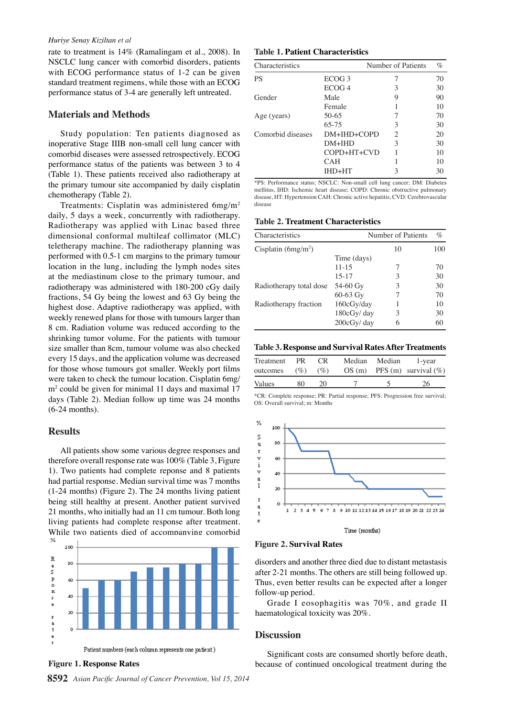### *Huriye Senay Kiziltan et al*

rate to treatment is 14% (Ramalingam et al., 2008). In NSCLC lung cancer with comorbid disorders, patients with ECOG performance status of 1-2 can be given standard treatment regimens, while those with an ECOG performance status of 3-4 are generally left untreated.

### **Materials and Methods**

Study population: Ten patients diagnosed as inoperative Stage IIIB non-small cell lung cancer with comorbid diseases were assessed retrospectively. ECOG performance status of the patients was between 3 to 4 (Table 1). These patients received also radiotherapy at the primary tumour site accompanied by daily cisplatin chemotherapy (Table 2).

Treatments: Cisplatin was administered 6mg/m2 daily, 5 days a week, concurrently with radiotherapy. Radiotherapy was applied with Linac based three dimensional conformal multileaf collimator (MLC) teletherapy machine. The radiotherapy planning was performed with 0.5-1 cm margins to the primary tumour location in the lung, including the lymph nodes sites at the mediastinum close to the primary tumour, and radiotherapy was administered with 180-200 cGy daily fractions, 54 Gy being the lowest and 63 Gy being the highest dose. Adaptive radiotherapy was applied, with weekly renewed plans for those with tumours larger than 8 cm. Radiation volume was reduced according to the shrinking tumor volume. For the patients with tumour size smaller than 8cm, tumour volume was also checked every 15 days, and the application volume was decreased for those whose tumours got smaller. Weekly port films were taken to check the tumour location. Cisplatin 6mg/ m2 could be given for minimal 11 days and maximal 17 days (Table 2). Median follow up time was 24 months (6-24 months).

### **Results**

All patients show some various degree responses and therefore overall response rate was 100% (Table 3, Figure 1). Two patients had complete reponse and 8 patients had partial response. Median survival time was 7 months (1-24 months) (Figure 2). The 24 months living patient being still healthy at present. Another patient survived 21 months, who initially had an 11 cm tumour. Both long living patients had complete response after treatment. While two patients died of accompanying comorbid



**8592** *Asian Pacific Journal of Cancer Prevention, Vol 15, 2014*

**Table 1. Patient Characteristics**

| Characteristics   |                   | Number of Patients          | $\%$ |
|-------------------|-------------------|-----------------------------|------|
| <b>PS</b>         | ECOG <sub>3</sub> |                             | 70   |
|                   | ECOG <sub>4</sub> | 3                           | 30   |
| Gender            | Male              | 9                           | 90   |
|                   | Female            |                             | 10   |
| Age (years)       | $50-65$           |                             | 70   |
|                   | 65-75             | 3                           | 30   |
| Comorbid diseases | $DM+IHD+COPD$     | $\mathcal{D}_{\mathcal{L}}$ | 20   |
|                   | $DM+HID$          | 3                           | 30   |
|                   | COPD+HT+CVD       |                             | 10   |
|                   | <b>CAH</b>        |                             | 10   |
|                   | IHD+HT            | 3                           | 30   |

\*PS: Performance status; NSCLC: Non-small cell lung cancer; DM: Diabetes mellitus, IHD: Ischemic heart disease; COPD: Chronic obstructive pulmonary disease, HT: Hypertension CAH: Chronic active hepatitis; CVD: Cerebrovascular discoss

**Table 2. Treatment Characteristics**

| Characteristics         |             | Number of Patients | $\%$ |
|-------------------------|-------------|--------------------|------|
| Cisplatin $(6mg/m^2)$   |             | 10                 | 100  |
|                         | Time (days) |                    |      |
|                         | $11 - 15$   | 7                  | 70   |
|                         | $15 - 17$   | 3                  | 30   |
| Radiotherapy total dose | 54-60 Gy    | 3                  | 30   |
|                         | $60-63$ Gy  | 7                  | 70   |
| Radiotherapy fraction   | 160cGy/day  |                    | 10   |
|                         | 180cGy/day  | 3                  | 30   |
|                         | 200cGy/day  | 6                  | 60   |

### **Table 3. Response and Survival Rates After Treatments**

| Treatment<br>outcomes | PR.<br>$(\% )$ | CR.<br>$($ %) | Median Median | 1-year<br>$OS(m)$ PFS (m) survival (%) |
|-----------------------|----------------|---------------|---------------|----------------------------------------|
| Values                | 80             | 20.           |               | 26                                     |

\*CR: Complete response; PR: Partial response; PFS: Progression free survival; OS: Overall survival; m: Months





disorders and another three died due to distant metastasis after 2-21 months. The others are still being followed up. Thus, even better results can be expected after a longer follow-up period.

Grade I eosophagitis was 70%, and grade II haematological toxicity was 20%.

### **Discussion**

Significant costs are consumed shortly before death, **Figure 1. Response Rates because of continued oncological treatment during the**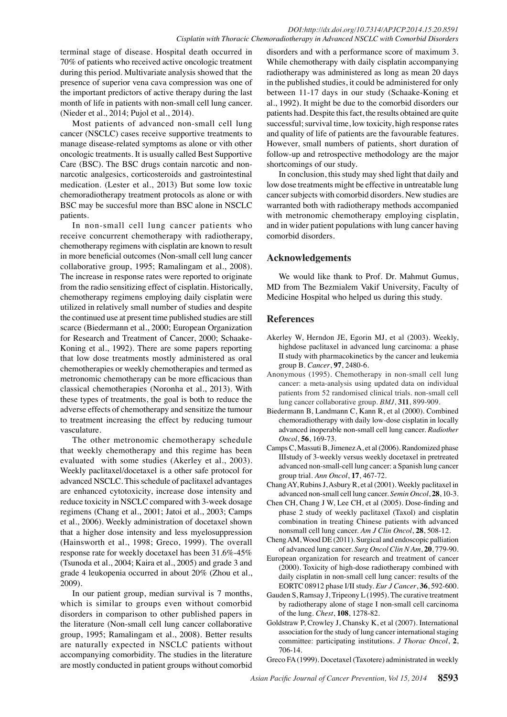terminal stage of disease. Hospital death occurred in 70% of patients who received active oncologic treatment during this period. Multivariate analysis showed that the presence of superior vena cava compression was one of the important predictors of active therapy during the last month of life in patients with non-small cell lung cancer. (Nieder et al., 2014; Pujol et al., 2014).

Most patients of advanced non-small cell lung cancer (NSCLC) cases receive supportive treatments to manage disease-related symptoms as alone or vith other oncologic treatments. It is usually called Best Supportive Care (BSC). The BSC drugs contain narcotic and nonnarcotic analgesics, corticosteroids and gastrointestinal medication. (Lester et al., 2013) But some low toxic chemoradiotherapy treatment protocols as alone or with BSC may be succesful more than BSC alone in NSCLC patients.

In non-small cell lung cancer patients who receive concurrent chemotherapy with radiotherapy, chemotherapy regimens with cisplatin are known to result in more beneficial outcomes (Non-small cell lung cancer collaborative group, 1995; Ramalingam et al., 2008). The increase in response rates were reported to originate from the radio sensitizing effect of cisplatin. Historically, chemotherapy regimens employing daily cisplatin were utilized in relatively small number of studies and despite the continued use at present time published studies are still scarce (Biedermann et al., 2000; European Organization for Research and Treatment of Cancer, 2000; Schaake-Koning et al., 1992). There are some papers reporting that low dose treatments mostly administered as oral chemotherapies or weekly chemotherapies and termed as metronomic chemotherapy can be more efficacious than classical chemotherapies (Noronha et al., 2013). With these types of treatments, the goal is both to reduce the adverse effects of chemotherapy and sensitize the tumour to treatment increasing the effect by reducing tumour vasculature.

The other metronomic chemotherapy schedule that weekly chemotherapy and this regime has been evaluated with some studies (Akerley et al., 2003). Weekly paclitaxel/docetaxel is a other safe protocol for advanced NSCLC. This schedule of paclitaxel advantages are enhanced cytotoxicity, increase dose intensity and reduce toxicity in NSCLC compared with 3-week dosage regimens (Chang et al., 2001; Jatoi et al., 2003; Camps et al., 2006). Weekly administration of docetaxel shown that a higher dose intensity and less myelosuppression (Hainsworth et al., 1998; Greco, 1999). The overall response rate for weekly docetaxel has been 31.6%-45% (Tsunoda et al., 2004; Kaira et al., 2005) and grade 3 and grade 4 leukopenia occurred in about 20% (Zhou et al., 2009).

In our patient group, median survival is 7 months, which is similar to groups even without comorbid disorders in comparison to other published papers in the literature (Non-small cell lung cancer collaborative group, 1995; Ramalingam et al., 2008). Better results are naturally expected in NSCLC patients without accompanying comorbidity. The studies in the literature are mostly conducted in patient groups without comorbid

disorders and with a performance score of maximum 3. While chemotherapy with daily cisplatin accompanying radiotherapy was administered as long as mean 20 days in the published studies, it could be administered for only between 11-17 days in our study (Schaake-Koning et al., 1992). It might be due to the comorbid disorders our patients had. Despite this fact, the results obtained are quite successful; survival time, low toxicity, high response rates and quality of life of patients are the favourable features. However, small numbers of patients, short duration of follow-up and retrospective methodology are the major shortcomings of our study.

In conclusion, this study may shed light that daily and low dose treatments might be effective in untreatable lung cancer subjects with comorbid disorders. New studies are warranted both with radiotherapy methods accompanied with metronomic chemotherapy employing cisplatin, and in wider patient populations with lung cancer having comorbid disorders.

# **Acknowledgements**

We would like thank to Prof. Dr. Mahmut Gumus, MD from The Bezmialem Vakif University, Faculty of Medicine Hospital who helped us during this study.

# **References**

- Akerley W, Herndon JE, Egorin MJ, et al (2003). Weekly, highdose paclitaxel in advanced lung carcinoma: a phase II study with pharmacokinetics by the cancer and leukemia group B. *Cancer*, **97**, 2480-6.
- Anonymous (1995). Chemotherapy in non-small cell lung cancer: a meta-analysis using updated data on individual patients from 52 randomised clinical trials. non-small cell lung cancer collaborative group. *BMJ*, **311**, 899-909.
- Biedermann B, Landmann C, Kann R, et al (2000). Combined chemoradiotherapy with daily low-dose cisplatin in locally advanced inoperable non-small cell lung cancer. *Radiother Oncol*, **56**, 169-73.
- Camps C, Massuti B, Jimenez A, et al (2006). Randomized phase IIIstudy of 3-weekly versus weekly docetaxel in pretreated advanced non-small-cell lung cancer: a Spanish lung cancer group trial. *Ann Oncol*, **17**, 467-72.
- Chang AY, Rubins J, Asbury R, et al (2001). Weekly paclitaxel in advanced non-small cell lung cancer. *Semin Oncol*, **28**, 10-3.
- Chen CH, Chang J W, Lee CH, et al (2005). Dose-finding and phase 2 study of weekly paclitaxel (Taxol) and cisplatin combination in treating Chinese patients with advanced nonsmall cell lung cancer. *Am J Clin Oncol*, **28**, 508-12.
- Cheng AM, Wood DE (2011). Surgical and endoscopic palliation of advanced lung cancer. *Surg Oncol Clin N Am*, **20**, 779-90.
- European organization for research and treatment of cancer (2000). Toxicity of high-dose radiotherapy combined with daily cisplatin in non-small cell lung cancer: results of the EORTC 08912 phase I/II study. *Eur J Cancer*, **36**, 592-600.
- Gauden S, Ramsay J, Tripeony L (1995). The curative treatment by radiotherapy alone of stage I non-small cell carcinoma of the lung. *Chest*, **108**, 1278-82.
- Goldstraw P, Crowley J, Chansky K, et al (2007). International association for the study of lung cancer international staging committee: participating institutions. *J Thorac Oncol*, **2**, 706-14.

Greco FA (1999). Docetaxel (Taxotere) administrated in weekly